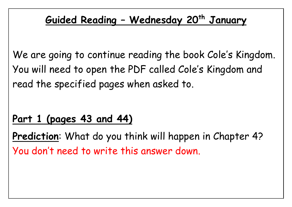## **Guided Reading – Wednesday 20th January**

We are going to continue reading the book Cole's Kingdom. You will need to open the PDF called Cole's Kingdom and read the specified pages when asked to.

## **Part 1 (pages 43 and 44)**

**Prediction**: What do you think will happen in Chapter 4? You don't need to write this answer down.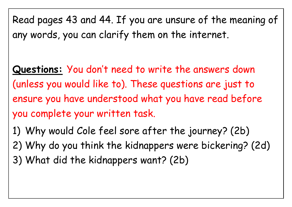Read pages 43 and 44. If you are unsure of the meaning of any words, you can clarify them on the internet.

**Questions:** You don't need to write the answers down (unless you would like to). These questions are just to ensure you have understood what you have read before you complete your written task.

1) Why would Cole feel sore after the journey? (2b) 2) Why do you think the kidnappers were bickering? (2d) 3) What did the kidnappers want? (2b)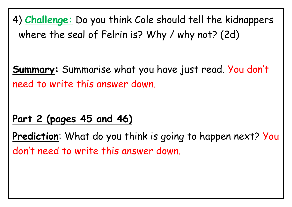4) **Challenge:** Do you think Cole should tell the kidnappers where the seal of Felrin is? Why / why not? (2d)

**Summary:** Summarise what you have just read. You don't need to write this answer down.

## **Part 2 (pages 45 and 46)**

**Prediction:** What do you think is going to happen next? You don't need to write this answer down.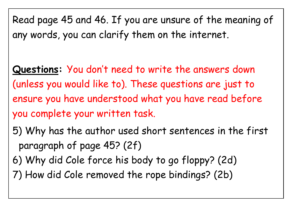Read page 45 and 46. If you are unsure of the meaning of any words, you can clarify them on the internet.

**Questions:** You don't need to write the answers down (unless you would like to). These questions are just to ensure you have understood what you have read before you complete your written task.

- 5) Why has the author used short sentences in the first paragraph of page 45? (2f)
- 6) Why did Cole force his body to go floppy? (2d)
- 7) How did Cole removed the rope bindings? (2b)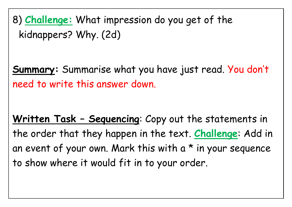8) **Challenge:** What impression do you get of the kidnappers? Why. (2d)

**Summary:** Summarise what you have just read. You don't need to write this answer down.

**Written Task – Sequencing**: Copy out the statements in the order that they happen in the text. **Challenge**: Add in an event of your own. Mark this with  $a * in$  your sequence to show where it would fit in to your order.